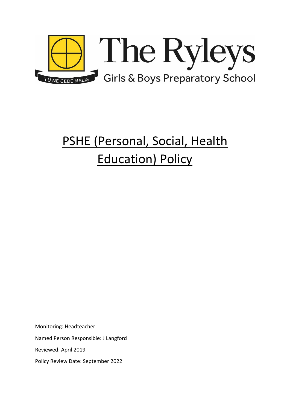

# PSHE (Personal, Social, Health Education) Policy

Monitoring: Headteacher Named Person Responsible: J Langford

Reviewed: April 2019

Policy Review Date: September 2022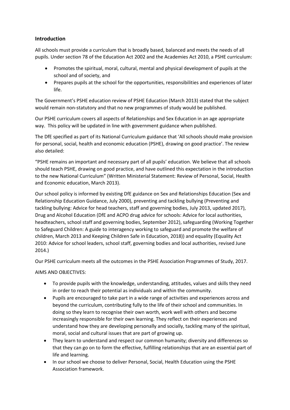# **Introduction**

All schools must provide a curriculum that is broadly based, balanced and meets the needs of all pupils. Under section 78 of the Education Act 2002 and the Academies Act 2010, a PSHE curriculum:

- Promotes the spiritual, moral, cultural, mental and physical development of pupils at the school and of society, and
- Prepares pupils at the school for the opportunities, responsibilities and experiences of later life.

The Government's PSHE education review of PSHE Education (March 2013) stated that the subject would remain non-statutory and that no new programmes of study would be published.

Our PSHE curriculum covers all aspects of Relationships and Sex Education in an age appropriate way. This policy will be updated in line with government guidance when published.

The DfE specified as part of its National Curriculum guidance that 'All schools should make provision for personal, social, health and economic education (PSHE), drawing on good practice'. The review also detailed:

"PSHE remains an important and necessary part of all pupils' education. We believe that all schools should teach PSHE, drawing on good practice, and have outlined this expectation in the introduction to the new National Curriculum" (Written Ministerial Statement: Review of Personal, Social, Health and Economic education, March 2013).

Our school policy is informed by existing DfE guidance on Sex and Relationships Education (Sex and Relationship Education Guidance, July 2000), preventing and tackling bullying (Preventing and tackling bullying: Advice for head teachers, staff and governing bodies, July 2013, updated 2017), Drug and Alcohol Education (DfE and ACPO drug advice for schools: Advice for local authorities, headteachers, school staff and governing bodies, September 2012), safeguarding (Working Together to Safeguard Children: A guide to interagency working to safeguard and promote the welfare of children, March 2013 and Keeping Children Safe in Education, 2018)) and equality (Equality Act 2010: Advice for school leaders, school staff, governing bodies and local authorities, revised June 2014.)

Our PSHE curriculum meets all the outcomes in the PSHE Association Programmes of Study, 2017.

AIMS AND OBJECTIVES:

- To provide pupils with the knowledge, understanding, attitudes, values and skills they need in order to reach their potential as individuals and within the community.
- Pupils are encouraged to take part in a wide range of activities and experiences across and beyond the curriculum, contributing fully to the life of their school and communities. In doing so they learn to recognise their own worth, work well with others and become increasingly responsible for their own learning. They reflect on their experiences and understand how they are developing personally and socially, tackling many of the spiritual, moral, social and cultural issues that are part of growing up.
- They learn to understand and respect our common humanity; diversity and differences so that they can go on to form the effective, fulfilling relationships that are an essential part of life and learning.
- In our school we choose to deliver Personal, Social, Health Education using the PSHE Association framework.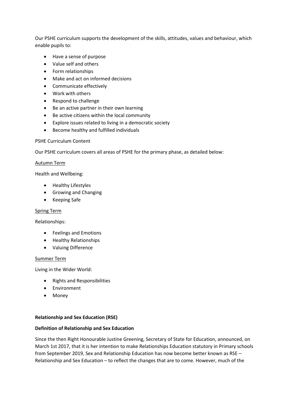Our PSHE curriculum supports the development of the skills, attitudes, values and behaviour, which enable pupils to:

- Have a sense of purpose
- Value self and others
- Form relationships
- Make and act on informed decisions
- Communicate effectively
- Work with others
- Respond to challenge
- Be an active partner in their own learning
- Be active citizens within the local community
- Explore issues related to living in a democratic society
- Become healthy and fulfilled individuals

#### PSHE Curriculum Content

Our PSHE curriculum covers all areas of PSHE for the primary phase, as detailed below:

#### Autumn Term

Health and Wellbeing:

- Healthy Lifestyles
- Growing and Changing
- Keeping Safe

## Spring Term

Relationships:

- Feelings and Emotions
- Healthy Relationships
- Valuing Difference

#### Summer Term

Living in the Wider World:

- Rights and Responsibilities
- **•** Environment
- Money

## **Relationship and Sex Education (RSE)**

## **Definition of Relationship and Sex Education**

Since the then Right Honourable Justine Greening, Secretary of State for Education, announced, on March 1st 2017, that it is her intention to make Relationships Education statutory in Primary schools from September 2019, Sex and Relationship Education has now become better known as RSE – Relationship and Sex Education – to reflect the changes that are to come. However, much of the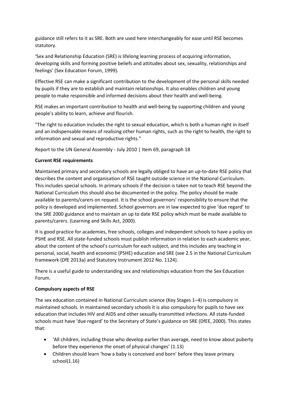guidance still refers to it as SRE. Both are used here interchangeably for ease until RSE becomes statutory.

'Sex and Relationship Education (SRE) is lifelong learning process of acquiring information, developing skills and forming positive beliefs and attitudes about sex, sexuality, relationships and feelings' (Sex Education Forum, 1999).

Effective RSE can make a significant contribution to the development of the personal skills needed by pupils if they are to establish and maintain relationships. It also enables children and young people to make responsible and informed decisions about their health and well-being.

RSE makes an important contribution to health and well-being by supporting children and young people's ability to learn, achieve and flourish.

"The right to education includes the right to sexual education, which is both a human right in itself and an indispensable means of realising other human rights, such as the right to health, the right to information and sexual and reproductive rights."

Report to the UN General Assembly - July 2010 | Item 69, paragraph 18

# **Current RSE requirements**

Maintained primary and secondary schools are legally obliged to have an up-to-date RSE policy that describes the content and organisation of RSE taught outside science in the National Curriculum. This includes special schools. In primary schools if the decision is taken not to teach RSE beyond the National Curriculum this should also be documented in the policy. The policy should be made available to parents/carers on request. It is the school governors' responsibility to ensure that the policy is developed and implemented. School governors are in law expected to give 'due regard' to the SRE 2000 guidance and to maintain an up to date RSE policy which must be made available to parents/carers. (Learning and Skills Act, 2000).

It is good practice for academies, free schools, colleges and independent schools to have a policy on PSHE and RSE. All state-funded schools must publish information in relation to each academic year, about the content of the school's curriculum for each subject, and this includes any teaching in personal, social, health and economic (PSHE) education and SRE (see 2.5 in the National Curriculum framework (DfE 2013a) and Statutory Instrument 2012 No. 1124).

There is a useful guide to understanding sex and relationships education from the Sex Education Forum.

## **Compulsory aspects of RSE**

The sex education contained in National Curriculum science (Key Stages 1–4) is compulsory in maintained schools. In maintained secondary schools it is also compulsory for pupils to have sex education that includes HIV and AIDS and other sexually-transmitted infections. All state-funded schools must have 'due regard' to the Secretary of State's guidance on SRE (DfEE, 2000). This states that:

- 'All children, including those who develop earlier than average, need to know about puberty before they experience the onset of physical changes' (1.13)
- Children should learn 'how a baby is conceived and born' before they leave primary school(1.16)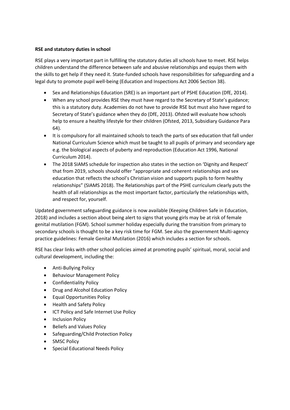## **RSE and statutory duties in school**

RSE plays a very important part in fulfilling the statutory duties all schools have to meet. RSE helps children understand the difference between safe and abusive relationships and equips them with the skills to get help if they need it. State-funded schools have responsibilities for safeguarding and a legal duty to promote pupil well-being (Education and Inspections Act 2006 Section 38).

- Sex and Relationships Education (SRE) is an important part of PSHE Education (DfE, 2014).
- When any school provides RSE they must have regard to the Secretary of State's guidance; this is a statutory duty. Academies do not have to provide RSE but must also have regard to Secretary of State's guidance when they do (DfE, 2013). Ofsted will evaluate how schools help to ensure a healthy lifestyle for their children (Ofsted, 2013, Subsidiary Guidance Para 64).
- It is compulsory for all maintained schools to teach the parts of sex education that fall under National Curriculum Science which must be taught to all pupils of primary and secondary age e.g. the biological aspects of puberty and reproduction (Education Act 1996, National Curriculum 2014).
- The 2018 SIAMS schedule for inspection also states in the section on 'Dignity and Respect' that from 2019, schools should offer "appropriate and coherent relationships and sex education that reflects the school's Christian vision and supports pupils to form healthy relationships" (SIAMS 2018). The Relationships part of the PSHE curriculum clearly puts the health of all relationships as the most important factor, particularly the relationships with, and respect for, yourself.

Updated government safeguarding guidance is now available (Keeping Children Safe in Education, 2018) and includes a section about being alert to signs that young girls may be at risk of female genital mutilation (FGM). School summer holiday especially during the transition from primary to secondary schools is thought to be a key risk time for FGM. See also the government Multi-agency practice guidelines: Female Genital Mutilation (2016) which includes a section for schools.

RSE has clear links with other school policies aimed at promoting pupils' spiritual, moral, social and cultural development, including the:

- Anti-Bullying Policy
- Behaviour Management Policy
- Confidentiality Policy
- Drug and Alcohol Education Policy
- Equal Opportunities Policy
- Health and Safety Policy
- **ICT Policy and Safe Internet Use Policy**
- Inclusion Policy
- Beliefs and Values Policy
- Safeguarding/Child Protection Policy
- SMSC Policy
- Special Educational Needs Policy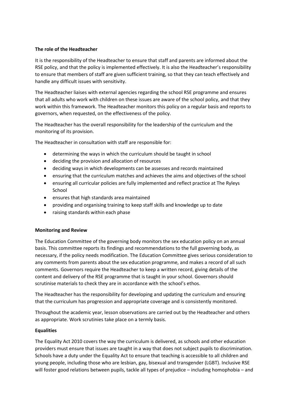## **The role of the Headteacher**

It is the responsibility of the Headteacher to ensure that staff and parents are informed about the RSE policy, and that the policy is implemented effectively. It is also the Headteacher's responsibility to ensure that members of staff are given sufficient training, so that they can teach effectively and handle any difficult issues with sensitivity.

The Headteacher liaises with external agencies regarding the school RSE programme and ensures that all adults who work with children on these issues are aware of the school policy, and that they work within this framework. The Headteacher monitors this policy on a regular basis and reports to governors, when requested, on the effectiveness of the policy.

The Headteacher has the overall responsibility for the leadership of the curriculum and the monitoring of its provision.

The Headteacher in consultation with staff are responsible for:

- determining the ways in which the curriculum should be taught in school
- deciding the provision and allocation of resources
- deciding ways in which developments can be assesses and records maintained
- ensuring that the curriculum matches and achieves the aims and objectives of the school
- ensuring all curricular policies are fully implemented and reflect practice at The Ryleys School
- ensures that high standards area maintained
- providing and organising training to keep staff skills and knowledge up to date
- raising standards within each phase

## **Monitoring and Review**

The Education Committee of the governing body monitors the sex education policy on an annual basis. This committee reports its findings and recommendations to the full governing body, as necessary, if the policy needs modification. The Education Committee gives serious consideration to any comments from parents about the sex education programme, and makes a record of all such comments. Governors require the Headteacher to keep a written record, giving details of the content and delivery of the RSE programme that is taught in your school. Governors should scrutinise materials to check they are in accordance with the school's ethos.

The Headteacher has the responsibility for developing and updating the curriculum and ensuring that the curriculum has progression and appropriate coverage and is consistently monitored.

Throughout the academic year, lesson observations are carried out by the Headteacher and others as appropriate. Work scrutinies take place on a termly basis.

## **Equalities**

The Equality Act 2010 covers the way the curriculum is delivered, as schools and other education providers must ensure that issues are taught in a way that does not subject pupils to discrimination. Schools have a duty under the Equality Act to ensure that teaching is accessible to all children and young people, including those who are lesbian, gay, bisexual and transgender (LGBT). Inclusive RSE will foster good relations between pupils, tackle all types of prejudice – including homophobia – and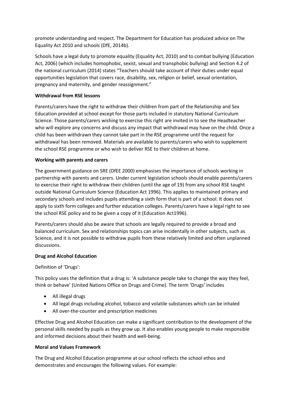promote understanding and respect. The Department for Education has produced advice on The Equality Act 2010 and schools (DfE, 2014b).

Schools have a legal duty to promote equality (Equality Act, 2010) and to combat bullying (Education Act, 2006) (which includes homophobic, sexist, sexual and transphobic bullying) and Section 4.2 of the national curriculum (2014) states "Teachers should take account of their duties under equal opportunities legislation that covers race, disability, sex, religion or belief, sexual orientation, pregnancy and maternity, and gender reassignment."

## **Withdrawal from RSE lessons**

Parents/carers have the right to withdraw their children from part of the Relationship and Sex Education provided at school except for those parts included in statutory National Curriculum Science. Those parents/carers wishing to exercise this right are invited in to see the Headteacher who will explore any concerns and discuss any impact that withdrawal may have on the child. Once a child has been withdrawn they cannot take part in the RSE programme until the request for withdrawal has been removed. Materials are available to parents/carers who wish to supplement the school RSE programme or who wish to deliver RSE to their children at home.

## **Working with parents and carers**

The government guidance on SRE (DfEE 2000) emphasises the importance of schools working in partnership with parents and carers. Under current legislation schools should enable parents/carers to exercise their right to withdraw their children (until the age of 19) from any school RSE taught outside National Curriculum Science (Education Act 1996). This applies to maintained primary and secondary schools and includes pupils attending a sixth form that is part of a school. It does not apply to sixth form colleges and further education colleges. Parents/carers have a legal right to see the school RSE policy and to be given a copy of it (Education Act1996).

Parents/carers should also be aware that schools are legally required to provide a broad and balanced curriculum. Sex and relationships topics can arise incidentally in other subjects, such as Science, and it is not possible to withdraw pupils from these relatively limited and often unplanned discussions.

## **Drug and Alcohol Education**

Definition of 'Drugs':

This policy uses the definition that a drug is: 'A substance people take to change the way they feel, think or behave' (United Nations Office on Drugs and Crime). The term 'Drugs' includes

- All illegal drugs
- All legal drugs including alcohol, tobacco and volatile substances which can be inhaled
- All over-the-counter and prescription medicines

Effective Drug and Alcohol Education can make a significant contribution to the development of the personal skills needed by pupils as they grow up. It also enables young people to make responsible and informed decisions about their health and well-being.

## **Moral and Values Framework**

The Drug and Alcohol Education programme at our school reflects the school ethos and demonstrates and encourages the following values. For example: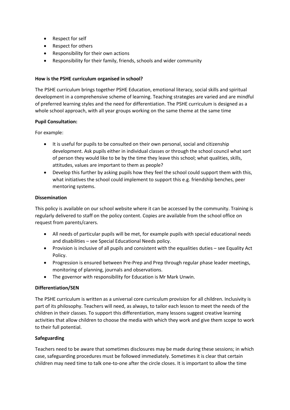- Respect for self
- Respect for others
- Responsibility for their own actions
- Responsibility for their family, friends, schools and wider community

## **How is the PSHE curriculum organised in school?**

The PSHE curriculum brings together PSHE Education, emotional literacy, social skills and spiritual development in a comprehensive scheme of learning. Teaching strategies are varied and are mindful of preferred learning styles and the need for differentiation. The PSHE curriculum is designed as a whole school approach, with all year groups working on the same theme at the same time

## **Pupil Consultation:**

For example:

- It is useful for pupils to be consulted on their own personal, social and citizenship development. Ask pupils either in individual classes or through the school council what sort of person they would like to be by the time they leave this school; what qualities, skills, attitudes, values are important to them as people?
- Develop this further by asking pupils how they feel the school could support them with this, what initiatives the school could implement to support this e.g. friendship benches, peer mentoring systems.

## **Dissemination**

This policy is available on our school website where it can be accessed by the community. Training is regularly delivered to staff on the policy content. Copies are available from the school office on request from parents/carers.

- All needs of particular pupils will be met, for example pupils with special educational needs and disabilities – see Special Educational Needs policy.
- Provision is inclusive of all pupils and consistent with the equalities duties see Equality Act Policy.
- Progression is ensured between Pre-Prep and Prep through regular phase leader meetings, monitoring of planning, journals and observations.
- The governor with responsibility for Education is Mr Mark Unwin.

# **Differentiation/SEN**

The PSHE curriculum is written as a universal core curriculum provision for all children. Inclusivity is part of its philosophy. Teachers will need, as always, to tailor each lesson to meet the needs of the children in their classes. To support this differentiation, many lessons suggest creative learning activities that allow children to choose the media with which they work and give them scope to work to their full potential.

## **Safeguarding**

Teachers need to be aware that sometimes disclosures may be made during these sessions; in which case, safeguarding procedures must be followed immediately. Sometimes it is clear that certain children may need time to talk one-to-one after the circle closes. It is important to allow the time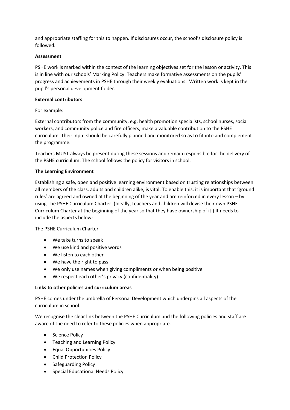and appropriate staffing for this to happen. If disclosures occur, the school's disclosure policy is followed.

# **Assessment**

PSHE work is marked within the context of the learning objectives set for the lesson or activity. This is in line with our schools' Marking Policy. Teachers make formative assessments on the pupils' progress and achievements in PSHE through their weekly evaluations. Written work is kept in the pupil's personal development folder.

## **External contributors**

## For example:

External contributors from the community, e.g. health promotion specialists, school nurses, social workers, and community police and fire officers, make a valuable contribution to the PSHE curriculum. Their input should be carefully planned and monitored so as to fit into and complement the programme.

Teachers MUST always be present during these sessions and remain responsible for the delivery of the PSHE curriculum. The school follows the policy for visitors in school.

## **The Learning Environment**

Establishing a safe, open and positive learning environment based on trusting relationships between all members of the class, adults and children alike, is vital. To enable this, it is important that 'ground rules' are agreed and owned at the beginning of the year and are reinforced in every lesson – by using The PSHE Curriculum Charter. (Ideally, teachers and children will devise their own PSHE Curriculum Charter at the beginning of the year so that they have ownership of it.) It needs to include the aspects below:

The PSHE Curriculum Charter

- We take turns to speak
- We use kind and positive words
- We listen to each other
- We have the right to pass
- We only use names when giving compliments or when being positive
- We respect each other's privacy (confidentiality)

# **Links to other policies and curriculum areas**

PSHE comes under the umbrella of Personal Development which underpins all aspects of the curriculum in school.

We recognise the clear link between the PSHE Curriculum and the following policies and staff are aware of the need to refer to these policies when appropriate.

- Science Policy
- Teaching and Learning Policy
- Equal Opportunities Policy
- Child Protection Policy
- Safeguarding Policy
- Special Educational Needs Policy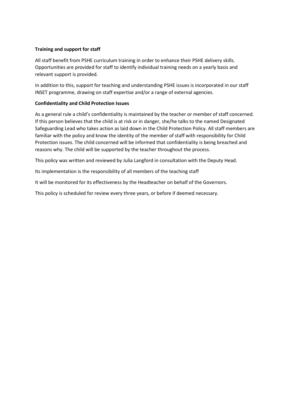## **Training and support for staff**

All staff benefit from PSHE curriculum training in order to enhance their PSHE delivery skills. Opportunities are provided for staff to identify individual training needs on a yearly basis and relevant support is provided.

In addition to this, support for teaching and understanding PSHE issues is incorporated in our staff INSET programme, drawing on staff expertise and/or a range of external agencies.

## **Confidentiality and Child Protection Issues**

As a general rule a child's confidentiality is maintained by the teacher or member of staff concerned. If this person believes that the child is at risk or in danger, she/he talks to the named Designated Safeguarding Lead who takes action as laid down in the Child Protection Policy. All staff members are familiar with the policy and know the identity of the member of staff with responsibility for Child Protection issues. The child concerned will be informed that confidentiality is being breached and reasons why. The child will be supported by the teacher throughout the process.

This policy was written and reviewed by Julia Langford in consultation with the Deputy Head.

Its implementation is the responsibility of all members of the teaching staff

It will be monitored for its effectiveness by the Headteacher on behalf of the Governors.

This policy is scheduled for review every three years, or before if deemed necessary.